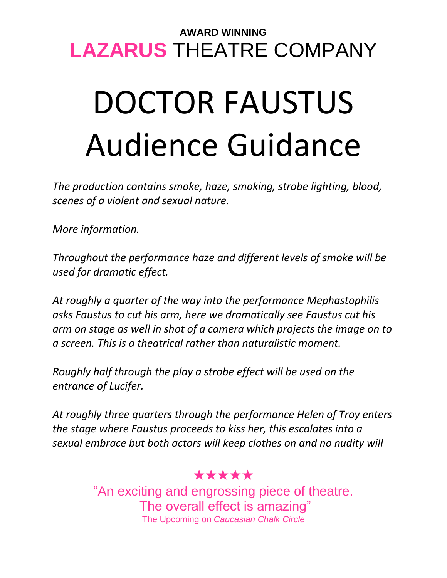## **AWARD WINNING LAZARUS** THEATRE COMPANY

# DOCTOR FAUSTUS Audience Guidance

*The production contains smoke, haze, smoking, strobe lighting, blood, scenes of a violent and sexual nature.*

*More information.*

*Throughout the performance haze and different levels of smoke will be used for dramatic effect.*

*At roughly a quarter of the way into the performance Mephastophilis asks Faustus to cut his arm, here we dramatically see Faustus cut his arm on stage as well in shot of a camera which projects the image on to a screen. This is a theatrical rather than naturalistic moment.*

*Roughly half through the play a strobe effect will be used on the entrance of Lucifer.*

*At roughly three quarters through the performance Helen of Troy enters the stage where Faustus proceeds to kiss her, this escalates into a sexual embrace but both actors will keep clothes on and no nudity will* 

#### ★★★★★

"An exciting and engrossing piece of theatre. The overall effect is amazing" The Upcoming on *Caucasian Chalk Circle*